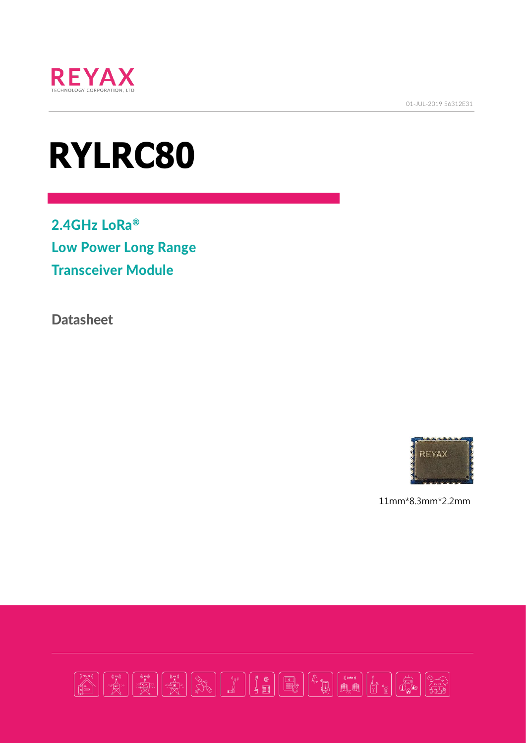

01-JUL-2019 56312E31

# **RYLRC80**

2.4GHz LoRa® Low Power Long Range Transceiver Module

**Datasheet** 



11mm\*8.3mm\*2.2mm

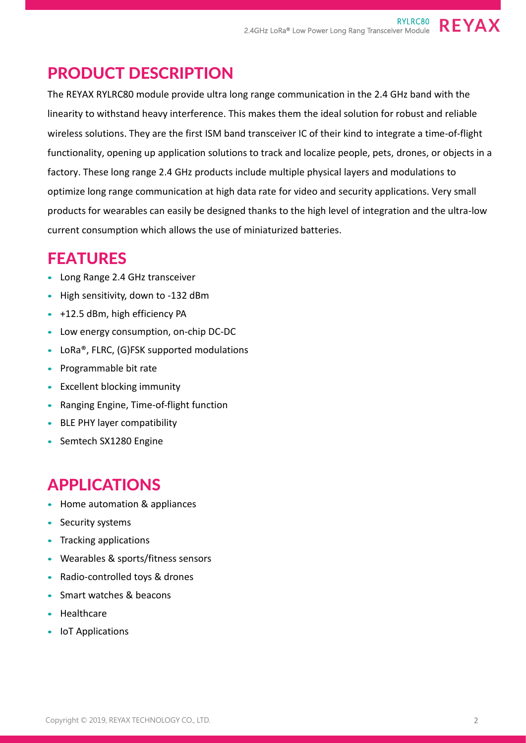#### PRODUCT DESCRIPTION

The REYAX RYLRC80 module provide ultra long range communication in the 2.4 GHz band with the linearity to withstand heavy interference. This makes them the ideal solution for robust and reliable wireless solutions. They are the first ISM band transceiver IC of their kind to integrate a time-of-flight functionality, opening up application solutions to track and localize people, pets, drones, or objects in a factory. These long range 2.4 GHz products include multiple physical layers and modulations to optimize long range communication at high data rate for video and security applications. Very small products for wearables can easily be designed thanks to the high level of integration and the ultra-low current consumption which allows the use of miniaturized batteries.

## FEATURES

- Long Range 2.4 GHz transceiver
- High sensitivity, down to -132 dBm
- +12.5 dBm, high efficiency PA
- Low energy consumption, on-chip DC-DC
- LoRa®, FLRC, (G)FSK supported modulations
- Programmable bit rate
- Excellent blocking immunity
- Ranging Engine, Time-of-flight function
- BLE PHY layer compatibility
- Semtech SX1280 Engine

## APPLICATIONS

- Home automation & appliances
- Security systems
- Tracking applications
- Wearables & sports/fitness sensors
- Radio-controlled toys & drones
- Smart watches & beacons
- Healthcare
- IoT Applications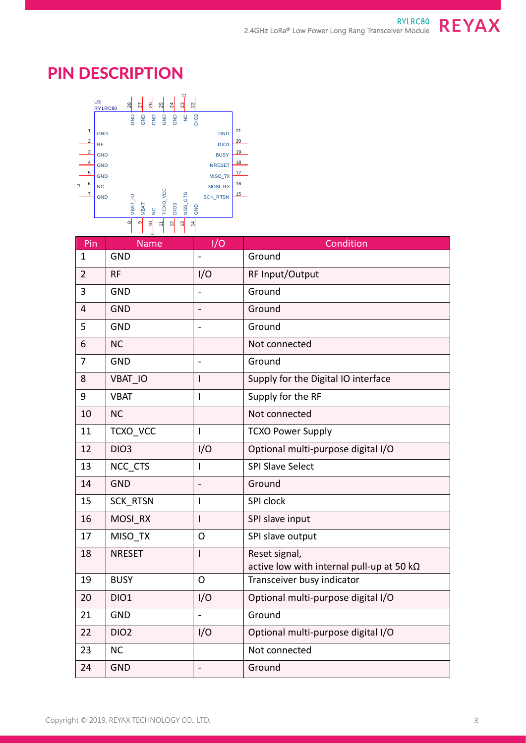### PIN DESCRIPTION



| Pin            | <b>Name</b>     | I/O | Condition                                         |  |  |
|----------------|-----------------|-----|---------------------------------------------------|--|--|
| $\mathbf{1}$   | <b>GND</b>      |     | Ground                                            |  |  |
| $\overline{2}$ | <b>RF</b>       | I/O | RF Input/Output                                   |  |  |
| 3              | <b>GND</b>      |     | Ground                                            |  |  |
| $\overline{4}$ | <b>GND</b>      |     | Ground                                            |  |  |
| 5              | <b>GND</b>      |     | Ground                                            |  |  |
| 6              | <b>NC</b>       |     | Not connected                                     |  |  |
| 7              | <b>GND</b>      |     | Ground                                            |  |  |
| 8              | <b>VBAT IO</b>  | I   | Supply for the Digital IO interface               |  |  |
| 9              | <b>VBAT</b>     | I   | Supply for the RF                                 |  |  |
| 10             | <b>NC</b>       |     | Not connected                                     |  |  |
| 11             | TCXO VCC        | T   | <b>TCXO Power Supply</b>                          |  |  |
| 12             | <b>DIO3</b>     | I/O | Optional multi-purpose digital I/O                |  |  |
| 13             | NCC_CTS         | I   | <b>SPI Slave Select</b>                           |  |  |
| 14             | <b>GND</b>      |     | Ground                                            |  |  |
| 15             | <b>SCK RTSN</b> | ı   | SPI clock                                         |  |  |
| 16             | MOSI RX         | I   | SPI slave input                                   |  |  |
| 17             | MISO TX         | O   | SPI slave output                                  |  |  |
| 18             | <b>NRESET</b>   | I   | Reset signal,                                     |  |  |
|                |                 |     | active low with internal pull-up at 50 k $\Omega$ |  |  |
| 19             | <b>BUSY</b>     | O   | Transceiver busy indicator                        |  |  |
| 20             | <b>DIO1</b>     | I/O | Optional multi-purpose digital I/O                |  |  |
| 21             | <b>GND</b>      |     | Ground                                            |  |  |
| 22             | <b>DIO2</b>     | I/O | Optional multi-purpose digital I/O                |  |  |
| 23             | <b>NC</b>       |     | Not connected                                     |  |  |
| 24             | <b>GND</b>      |     | Ground                                            |  |  |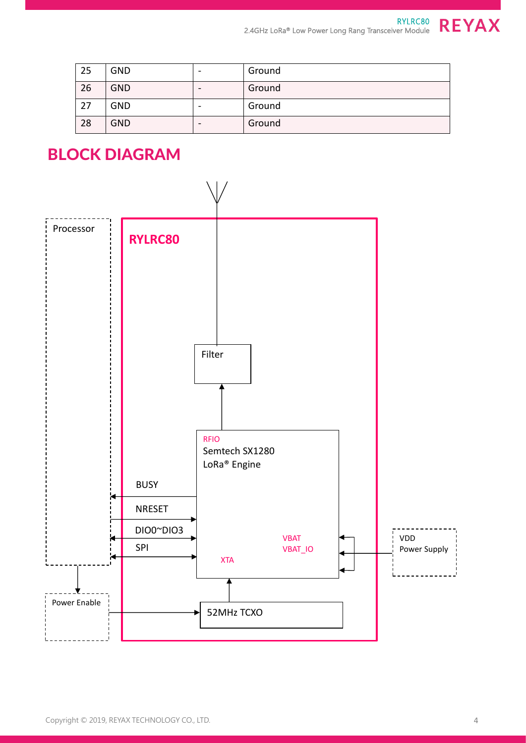| 25 | <b>GND</b> | Ground |
|----|------------|--------|
| 26 | <b>GND</b> | Ground |
| 27 | <b>GND</b> | Ground |
| 28 | <b>GND</b> | Ground |

## BLOCK DIAGRAM

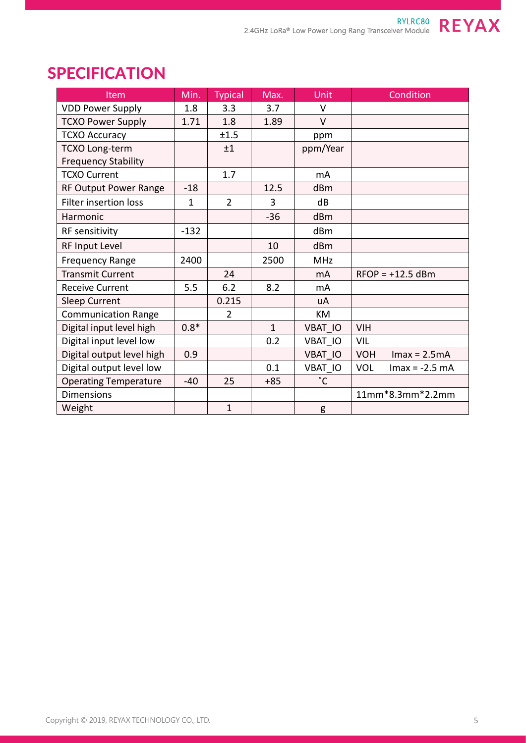

| Item                         | Min.         | <b>Typical</b> | Max.         | <b>Unit</b>    | Condition                      |
|------------------------------|--------------|----------------|--------------|----------------|--------------------------------|
| <b>VDD Power Supply</b>      | 1.8          | 3.3            | 3.7          | $\vee$         |                                |
| <b>TCXO Power Supply</b>     | 1.71         | 1.8            | 1.89         | $\vee$         |                                |
| <b>TCXO Accuracy</b>         |              | ±1.5           |              | ppm            |                                |
| <b>TCXO Long-term</b>        |              | ±1             |              | ppm/Year       |                                |
| <b>Frequency Stability</b>   |              |                |              |                |                                |
| <b>TCXO Current</b>          |              | 1.7            |              | mA             |                                |
| <b>RF Output Power Range</b> | $-18$        |                | 12.5         | dBm            |                                |
| <b>Filter insertion loss</b> | $\mathbf{1}$ | $\overline{2}$ | 3            | dB             |                                |
| Harmonic                     |              |                | $-36$        | dBm            |                                |
| <b>RF</b> sensitivity        | $-132$       |                |              | dBm            |                                |
| RF Input Level               |              |                | 10           | dBm            |                                |
| <b>Frequency Range</b>       | 2400         |                | 2500         | <b>MHz</b>     |                                |
| <b>Transmit Current</b>      |              | 24             |              | m <sub>A</sub> | $RFOP = +12.5$ dBm             |
| <b>Receive Current</b>       | 5.5          | 6.2            | 8.2          | mA             |                                |
| <b>Sleep Current</b>         |              | 0.215          |              | uA             |                                |
| <b>Communication Range</b>   |              | $\overline{2}$ |              | KM             |                                |
| Digital input level high     | $0.8*$       |                | $\mathbf{1}$ | <b>VBAT IO</b> | <b>VIH</b>                     |
| Digital input level low      |              |                | 0.2          | VBAT IO        | VIL                            |
| Digital output level high    | 0.9          |                |              | <b>VBAT IO</b> | <b>VOH</b><br>$Imax = 2.5mA$   |
| Digital output level low     |              |                | 0.1          | VBAT IO        | <b>VOL</b><br>$Imax = -2.5 mA$ |
| <b>Operating Temperature</b> | $-40$        | 25             | $+85$        | $\degree$ C    |                                |
| <b>Dimensions</b>            |              |                |              |                | 11mm*8.3mm*2.2mm               |
| Weight                       |              | $\mathbf{1}$   |              | g              |                                |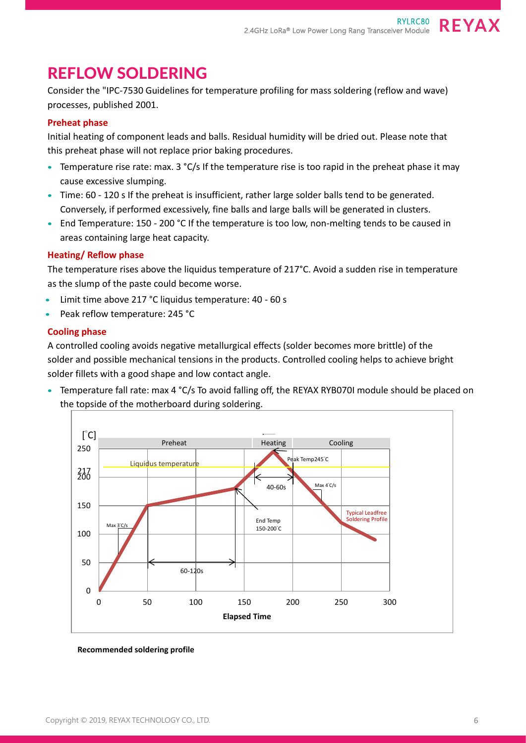#### REFLOW SOLDERING

Consider the "IPC-7530 Guidelines for temperature profiling for mass soldering (reflow and wave) processes, published 2001.

#### **Preheat phase**

Initial heating of component leads and balls. Residual humidity will be dried out. Please note that this preheat phase will not replace prior baking procedures.

- Temperature rise rate: max. 3 °C/s If the temperature rise is too rapid in the preheat phase it may cause excessive slumping.
- Time: 60 120 s If the preheat is insufficient, rather large solder balls tend to be generated. Conversely, if performed excessively, fine balls and large balls will be generated in clusters.
- End Temperature: 150 200 °C If the temperature is too low, non-melting tends to be caused in areas containing large heat capacity.

#### **Heating/ Reflow phase**

The temperature rises above the liquidus temperature of 217°C. Avoid a sudden rise in temperature as the slump of the paste could become worse.

- Limit time above 217 °C liquidus temperature: 40 60 s
- Peak reflow temperature: 245 °C

#### **Cooling phase**

A controlled cooling avoids negative metallurgical effects (solder becomes more brittle) of the solder and possible mechanical tensions in the products. Controlled cooling helps to achieve bright solder fillets with a good shape and low contact angle.

• Temperature fall rate: max 4 °C/s To avoid falling off, the REYAX RYB070I module should be placed on the topside of the motherboard during soldering.



**Recommended soldering profile**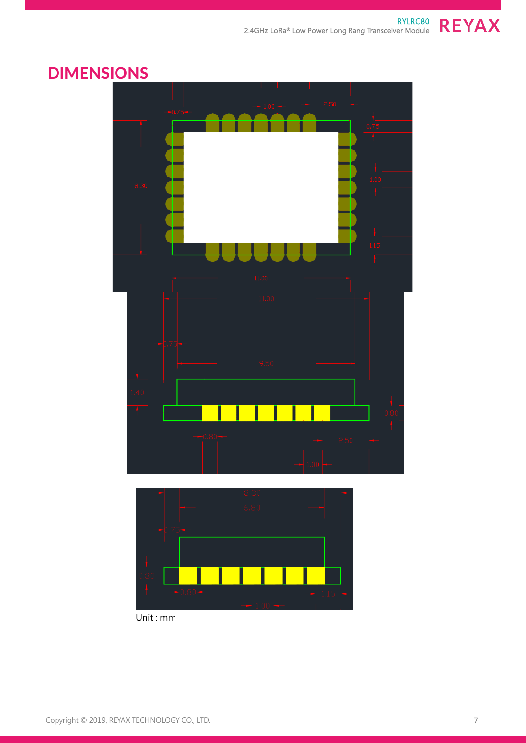

### DIMENSIONS



Unit : mm